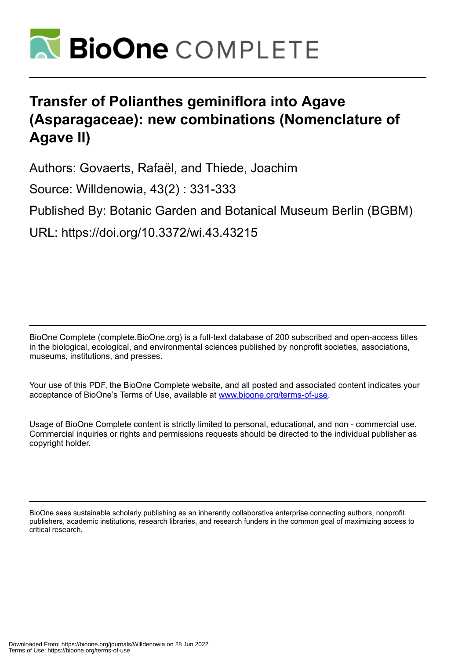

# **Transfer of Polianthes geminiflora into Agave (Asparagaceae): new combinations (Nomenclature of Agave II)**

Authors: Govaerts, Rafaël, and Thiede, Joachim

Source: Willdenowia, 43(2) : 331-333

Published By: Botanic Garden and Botanical Museum Berlin (BGBM)

URL: https://doi.org/10.3372/wi.43.43215

BioOne Complete (complete.BioOne.org) is a full-text database of 200 subscribed and open-access titles in the biological, ecological, and environmental sciences published by nonprofit societies, associations, museums, institutions, and presses.

Your use of this PDF, the BioOne Complete website, and all posted and associated content indicates your acceptance of BioOne's Terms of Use, available at www.bioone.org/terms-of-use.

Usage of BioOne Complete content is strictly limited to personal, educational, and non - commercial use. Commercial inquiries or rights and permissions requests should be directed to the individual publisher as copyright holder.

BioOne sees sustainable scholarly publishing as an inherently collaborative enterprise connecting authors, nonprofit publishers, academic institutions, research libraries, and research funders in the common goal of maximizing access to critical research.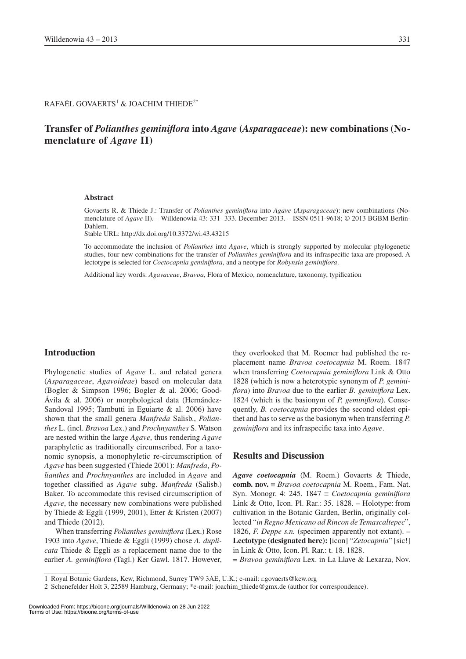$\mathsf{RAFA}\ddot{\mathsf{E}}\mathsf{L}$  GOVAERTS $^1$  & JOACHIM THIEDE $^{2^*}$ 

## **Transfer of** *Polianthes geminiflora* **into** *Agave* **(***Asparagaceae***): new combinations (Nomenclature of** *Agave* **II)**

#### **Abstract**

Govaerts R. & Thiede J.: Transfer of *Polianthes geminiflora* into *Agave* (*Asparagaceae*): new combinations (Nomenclature of *Agave* II). – Willdenowia 43: 331–333. December 2013. – ISSN 0511-9618; © 2013 BGBM Berlin-Dahlem.

Stable URL: http://dx.doi.org/10.3372/wi.43.43215

To accommodate the inclusion of *Polianthes* into *Agave*, which is strongly supported by molecular phylogenetic studies, four new combinations for the transfer of *Polianthes geminiflora* and its infraspecific taxa are proposed. A lectotype is selected for *Coetocapnia geminiflora*, and a neotype for *Robynsia geminiflora*.

Additional key words: *Agavaceae*, *Bravoa*, Flora of Mexico, nomenclature, taxonomy, typification

#### **Introduction**

Phylogenetic studies of *Agave* L. and related genera (*Asparagaceae*, *Agavoideae*) based on molecular data (Bogler & Simpson 1996; Bogler & al. 2006; Good-Ávila & al. 2006) or morphological data (Hernández-Sandoval 1995; Tambutti in Eguiarte & al. 2006) have shown that the small genera *Manfreda* Salisb., *Polianthes* L*.* (incl. *Bravoa* Lex.) and *Prochnyanthes* S. Watson are nested within the large *Agave*, thus rendering *Agave* paraphyletic as traditionally circumscribed. For a taxonomic synopsis, a monophyletic re-circumscription of *Agave* has been suggested (Thiede 2001): *Manfreda*, *Polianthes* and *Prochnyanthes* are included in *Agave* and together classified as *Agave* subg. *Manfreda* (Salisb.) Baker. To accommodate this revised circumscription of *Agave*, the necessary new combinations were published by Thiede & Eggli (1999, 2001), Etter & Kristen (2007) and Thiede (2012).

When transferring *Polianthes geminiflora* (Lex.) Rose 1903 into *Agave*, Thiede & Eggli (1999) chose *A. duplicata* Thiede & Eggli as a replacement name due to the earlier *A. geminiflora* (Tagl.) Ker Gawl. 1817. However,

they overlooked that M. Roemer had published the replacement name *Bravoa coetocapnia* M. Roem. 1847 when transferring *Coetocapnia geminiflora* Link & Otto 1828 (which is now a heterotypic synonym of *P. geminiflora*) into *Bravoa* due to the earlier *B. geminiflora* Lex. 1824 (which is the basionym of *P. geminiflora*). Consequently, *B. coetocapnia* provides the second oldest epithet and has to serve as the basionym when transferring *P. geminiflora* and its infraspecific taxa into *Agave*.

### **Results and Discussion**

*Agave coetocapnia* (M. Roem.) Govaerts & Thiede, **comb. nov.** ≡ *Bravoa coetocapnia* M. Roem., Fam. Nat. Syn. Monogr. 4: 245. 1847 ≡ *Coetocapnia geminiflora* Link & Otto, Icon. Pl. Rar.: 35. 1828. – Holotype: from cultivation in the Botanic Garden, Berlin, originally collected "*in Regno Mexicano ad Rincon de Temascaltepec*", 1826, *F. Deppe s.n.* (specimen apparently not extant). – **Lectotype (designated here):** [icon] "*Zetocapnia*" [sic!] in Link & Otto, Icon. Pl. Rar.: t. 18. 1828.

= *Bravoa geminiflora* Lex. in La Llave & Lexarza, Nov.

<sup>1</sup> Royal Botanic Gardens, Kew, Richmond, Surrey TW9 3AE, U.K.; e-mail: r.govaerts@kew.org

<sup>2</sup> Schenefelder Holt 3, 22589 Hamburg, Germany; \*e-mail: joachim\_thiede@gmx.de (author for correspondence).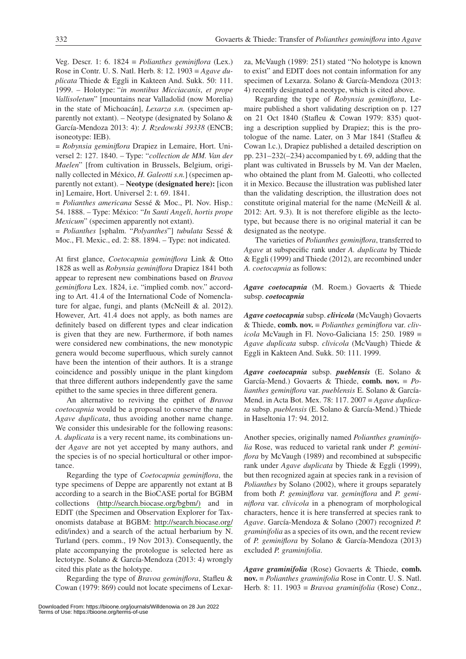Veg. Descr. 1: 6. 1824 ≡ *Polianthes geminiflora* (Lex.) Rose in Contr. U. S. Natl. Herb. 8: 12. 1903 ≡ *Agave duplicata* Thiede & Eggli in Kakteen And. Sukk. 50: 111. 1999. – Holotype: "*in montibus Micciacanis*, *et prope Vallisoletum*" [mountains near Valladolid (now Morelia) in the state of Michoacán], *Lexarza s.n.* (specimen apparently not extant). – Neotype (designated by Solano  $\&$ García-Mendoza 2013: 4): *J. Rzedowski 39338* (ENCB; isoneotype: IEB).

= *Robynsia geminiflora* Drapiez in Lemaire, Hort. Universel 2: 127. 1840. – Type: "*collection de MM. Van der Maelen*" [from cultivation in Brussels, Belgium, originally collected in México, *H. Galeotti s.n.*] (specimen apparently not extant). – **Neotype (designated here):** [icon in] Lemaire, Hort. Universel 2: t. 69. 1841.

*= Polianthes americana* Sessé & Moc., Pl. Nov. Hisp.: 54. 1888. – Type: México: "*In Santi Angeli*, *hortis prope Mexicum*" (specimen apparently not extant).

*= Polianthes* [sphalm. "*Polyanthes*"] *tubulata* Sessé & Moc., Fl. Mexic., ed. 2: 88. 1894. – Type: not indicated.

At first glance, *Coetocapnia geminiflora* Link & Otto 1828 as well as *Robynsia geminiflora* Drapiez 1841 both appear to represent new combinations based on *Bravoa geminiflora* Lex. 1824, i.e. "implied comb. nov." according to Art. 41.4 of the International Code of Nomenclature for algae, fungi, and plants (McNeill & al. 2012). However, Art. 41.4 does not apply, as both names are definitely based on different types and clear indication is given that they are new. Furthermore, if both names were considered new combinations, the new monotypic genera would become superfluous, which surely cannot have been the intention of their authors. It is a strange coincidence and possibly unique in the plant kingdom that three different authors independently gave the same epithet to the same species in three different genera.

An alternative to reviving the epithet of *Bravoa coetocapnia* would be a proposal to conserve the name *Agave duplicata*, thus avoiding another name change. We consider this undesirable for the following reasons: *A. duplicata* is a very recent name, its combinations under *Agave* are not yet accepted by many authors, and the species is of no special horticultural or other importance.

Regarding the type of *Coetocapnia geminiflora*, the type specimens of Deppe are apparently not extant at B according to a search in the BioCASE portal for BGBM collections [\(http://search.biocase.org/bgbm/\)](http://search.biocase.org/bgbm/) and in EDIT (the Specimen and Observation Explorer for Taxonomists database at BGBM: <http://search.biocase.org/> edit/index) and a search of the actual herbarium by N. Turland (pers. comm., 19 Nov 2013). Consequently, the plate accompanying the protologue is selected here as lectotype. Solano & García-Mendoza (2013: 4) wrongly cited this plate as the holotype.

Regarding the type of *Bravoa geminiflora*, Stafleu & Cowan (1979: 869) could not locate specimens of Lexarza, McVaugh (1989: 251) stated "No holotype is known to exist" and EDIT does not contain information for any specimen of Lexarza. Solano & García-Mendoza (2013: 4) recently designated a neotype, which is cited above.

Regarding the type of *Robynsia geminiflora*, Lemaire published a short validating description on p. 127 on 21 Oct 1840 (Stafleu & Cowan 1979: 835) quoting a description supplied by Drapiez; this is the protologue of the name. Later, on 3 Mar 1841 (Stafleu & Cowan l.c.), Drapiez published a detailed description on pp. 231–232(–234) accompanied by t. 69, adding that the plant was cultivated in Brussels by M. Van der Maelen, who obtained the plant from M. Galeotti, who collected it in Mexico. Because the illustration was published later than the validating description, the illustration does not constitute original material for the name (McNeill & al. 2012: Art. 9.3). It is not therefore eligible as the lectotype, but because there is no original material it can be designated as the neotype.

The varieties of *Polianthes geminiflora*, transferred to *Agave* at subspecific rank under *A. duplicata* by Thiede & Eggli (1999) and Thiede (2012), are recombined under *A. coetocapnia* as follows:

*Agave coetocapnia* (M. Roem.) Govaerts & Thiede subsp. *coetocapnia*

*Agave coetocapnia* subsp. *clivicola* (McVaugh) Govaerts & Thiede, **comb. nov.** ≡ *Polianthes geminiflora* var. *clivicola* McVaugh in Fl. Novo-Galiciana 15: 250. 1989 ≡ *Agave duplicata* subsp. *clivicola* (McVaugh) Thiede & Eggli in Kakteen And. Sukk. 50: 111. 1999.

*Agave coetocapnia* subsp. *pueblensis* (E. Solano & García-Mend.) Govaerts & Thiede, **comb. nov.** ≡ *Polianthes geminiflora* var. *pueblensis* E. Solano & García-Mend. in Acta Bot. Mex. 78: 117. 2007 ≡ *Agave duplicata* subsp. *pueblensis* (E. Solano & García-Mend.) Thiede in Haseltonia 17: 94. 2012.

Another species, originally named *Polianthes graminifolia* Rose, was reduced to varietal rank under *P. geminiflora* by McVaugh (1989) and recombined at subspecific rank under *Agave duplicata* by Thiede & Eggli (1999), but then recognized again at species rank in a revision of *Polianthes* by Solano (2002), where it groups separately from both *P. geminiflora* var. *geminiflora* and *P. geminiflora* var. *clivicola* in a phenogram of morphological characters, hence it is here transferred at species rank to *Agave*. García-Mendoza & Solano (2007) recognized *P. graminifolia* as a species of its own, and the recent review of *P. geminiflora* by Solano & García-Mendoza (2013) excluded *P. graminifolia*.

*Agave graminifolia* (Rose) Govaerts & Thiede, **comb. nov.** ≡ *Polianthes graminifolia* Rose in Contr. U. S. Natl. Herb. 8: 11. 1903 ≡ *Bravoa graminifolia* (Rose) Conz.,